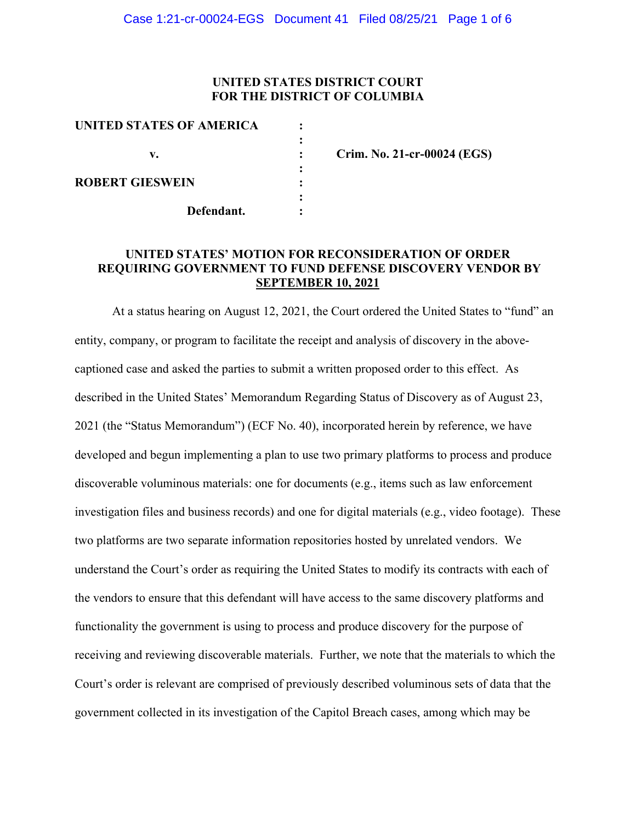# **UNITED STATES DISTRICT COURT FOR THE DISTRICT OF COLUMBIA**

| UNITED STATES OF AMERICA |  |
|--------------------------|--|
|                          |  |
| v.                       |  |
|                          |  |
| <b>ROBERT GIESWEIN</b>   |  |
|                          |  |
| Defendant.               |  |

**v. : Crim. No. 21-cr-00024 (EGS)**

# **UNITED STATES' MOTION FOR RECONSIDERATION OF ORDER REQUIRING GOVERNMENT TO FUND DEFENSE DISCOVERY VENDOR BY SEPTEMBER 10, 2021**

At a status hearing on August 12, 2021, the Court ordered the United States to "fund" an entity, company, or program to facilitate the receipt and analysis of discovery in the abovecaptioned case and asked the parties to submit a written proposed order to this effect. As described in the United States' Memorandum Regarding Status of Discovery as of August 23, 2021 (the "Status Memorandum") (ECF No. 40), incorporated herein by reference, we have developed and begun implementing a plan to use two primary platforms to process and produce discoverable voluminous materials: one for documents (e.g., items such as law enforcement investigation files and business records) and one for digital materials (e.g., video footage). These two platforms are two separate information repositories hosted by unrelated vendors. We understand the Court's order as requiring the United States to modify its contracts with each of the vendors to ensure that this defendant will have access to the same discovery platforms and functionality the government is using to process and produce discovery for the purpose of receiving and reviewing discoverable materials. Further, we note that the materials to which the Court's order is relevant are comprised of previously described voluminous sets of data that the government collected in its investigation of the Capitol Breach cases, among which may be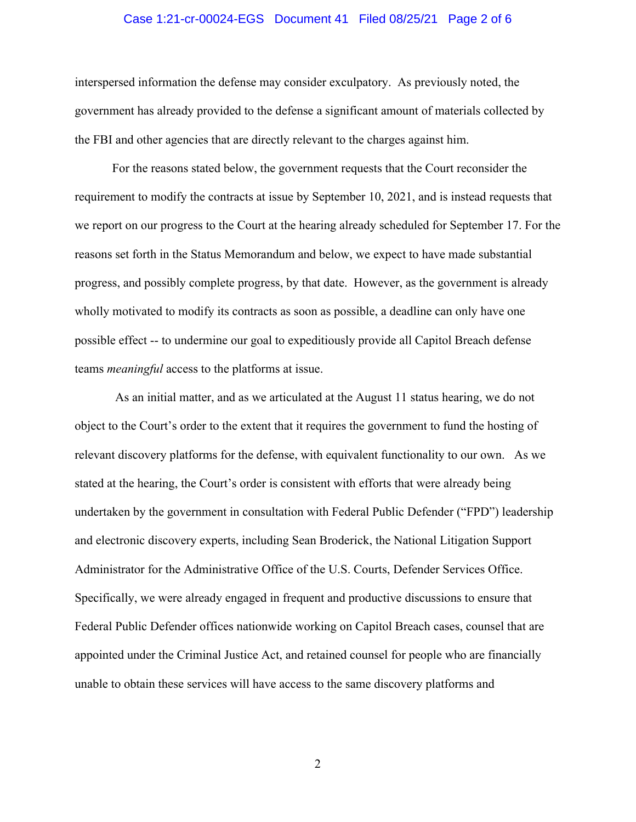## Case 1:21-cr-00024-EGS Document 41 Filed 08/25/21 Page 2 of 6

interspersed information the defense may consider exculpatory. As previously noted, the government has already provided to the defense a significant amount of materials collected by the FBI and other agencies that are directly relevant to the charges against him.

For the reasons stated below, the government requests that the Court reconsider the requirement to modify the contracts at issue by September 10, 2021, and is instead requests that we report on our progress to the Court at the hearing already scheduled for September 17. For the reasons set forth in the Status Memorandum and below, we expect to have made substantial progress, and possibly complete progress, by that date. However, as the government is already wholly motivated to modify its contracts as soon as possible, a deadline can only have one possible effect -- to undermine our goal to expeditiously provide all Capitol Breach defense teams *meaningful* access to the platforms at issue.

As an initial matter, and as we articulated at the August 11 status hearing, we do not object to the Court's order to the extent that it requires the government to fund the hosting of relevant discovery platforms for the defense, with equivalent functionality to our own. As we stated at the hearing, the Court's order is consistent with efforts that were already being undertaken by the government in consultation with Federal Public Defender ("FPD") leadership and electronic discovery experts, including Sean Broderick, the National Litigation Support Administrator for the Administrative Office of the U.S. Courts, Defender Services Office. Specifically, we were already engaged in frequent and productive discussions to ensure that Federal Public Defender offices nationwide working on Capitol Breach cases, counsel that are appointed under the Criminal Justice Act, and retained counsel for people who are financially unable to obtain these services will have access to the same discovery platforms and

2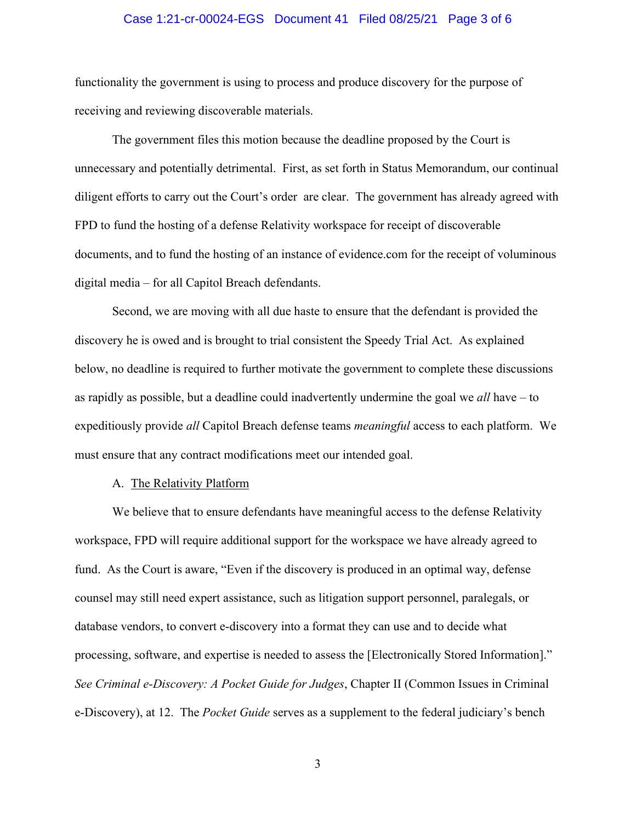## Case 1:21-cr-00024-EGS Document 41 Filed 08/25/21 Page 3 of 6

functionality the government is using to process and produce discovery for the purpose of receiving and reviewing discoverable materials.

The government files this motion because the deadline proposed by the Court is unnecessary and potentially detrimental. First, as set forth in Status Memorandum, our continual diligent efforts to carry out the Court's order are clear. The government has already agreed with FPD to fund the hosting of a defense Relativity workspace for receipt of discoverable documents, and to fund the hosting of an instance of evidence.com for the receipt of voluminous digital media – for all Capitol Breach defendants.

Second, we are moving with all due haste to ensure that the defendant is provided the discovery he is owed and is brought to trial consistent the Speedy Trial Act. As explained below, no deadline is required to further motivate the government to complete these discussions as rapidly as possible, but a deadline could inadvertently undermine the goal we *all* have – to expeditiously provide *all* Capitol Breach defense teams *meaningful* access to each platform. We must ensure that any contract modifications meet our intended goal.

## A. The Relativity Platform

We believe that to ensure defendants have meaningful access to the defense Relativity workspace, FPD will require additional support for the workspace we have already agreed to fund. As the Court is aware, "Even if the discovery is produced in an optimal way, defense counsel may still need expert assistance, such as litigation support personnel, paralegals, or database vendors, to convert e-discovery into a format they can use and to decide what processing, software, and expertise is needed to assess the [Electronically Stored Information]." *See Criminal e-Discovery: A Pocket Guide for Judges*, Chapter II (Common Issues in Criminal e-Discovery), at 12. The *Pocket Guide* serves as a supplement to the federal judiciary's bench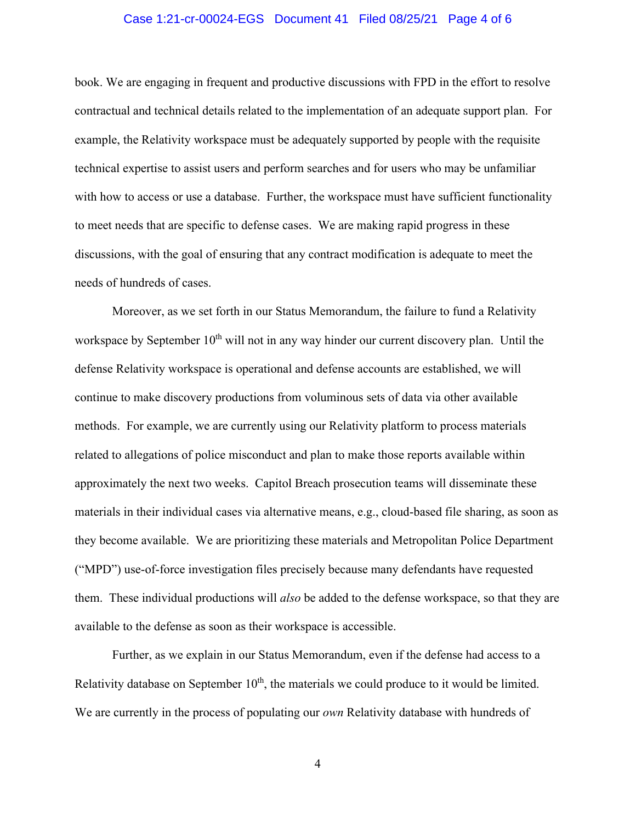## Case 1:21-cr-00024-EGS Document 41 Filed 08/25/21 Page 4 of 6

book. We are engaging in frequent and productive discussions with FPD in the effort to resolve contractual and technical details related to the implementation of an adequate support plan. For example, the Relativity workspace must be adequately supported by people with the requisite technical expertise to assist users and perform searches and for users who may be unfamiliar with how to access or use a database. Further, the workspace must have sufficient functionality to meet needs that are specific to defense cases. We are making rapid progress in these discussions, with the goal of ensuring that any contract modification is adequate to meet the needs of hundreds of cases.

Moreover, as we set forth in our Status Memorandum, the failure to fund a Relativity workspace by September  $10<sup>th</sup>$  will not in any way hinder our current discovery plan. Until the defense Relativity workspace is operational and defense accounts are established, we will continue to make discovery productions from voluminous sets of data via other available methods. For example, we are currently using our Relativity platform to process materials related to allegations of police misconduct and plan to make those reports available within approximately the next two weeks. Capitol Breach prosecution teams will disseminate these materials in their individual cases via alternative means, e.g., cloud-based file sharing, as soon as they become available. We are prioritizing these materials and Metropolitan Police Department ("MPD") use-of-force investigation files precisely because many defendants have requested them. These individual productions will *also* be added to the defense workspace, so that they are available to the defense as soon as their workspace is accessible.

Further, as we explain in our Status Memorandum, even if the defense had access to a Relativity database on September  $10<sup>th</sup>$ , the materials we could produce to it would be limited. We are currently in the process of populating our *own* Relativity database with hundreds of

4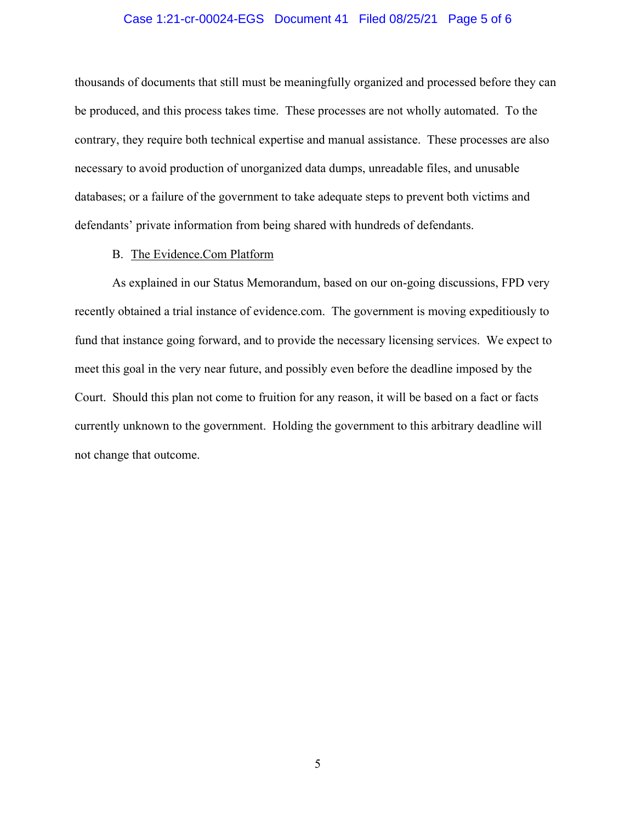### Case 1:21-cr-00024-EGS Document 41 Filed 08/25/21 Page 5 of 6

thousands of documents that still must be meaningfully organized and processed before they can be produced, and this process takes time. These processes are not wholly automated. To the contrary, they require both technical expertise and manual assistance. These processes are also necessary to avoid production of unorganized data dumps, unreadable files, and unusable databases; or a failure of the government to take adequate steps to prevent both victims and defendants' private information from being shared with hundreds of defendants.

#### B. The Evidence.Com Platform

As explained in our Status Memorandum, based on our on-going discussions, FPD very recently obtained a trial instance of evidence.com. The government is moving expeditiously to fund that instance going forward, and to provide the necessary licensing services. We expect to meet this goal in the very near future, and possibly even before the deadline imposed by the Court. Should this plan not come to fruition for any reason, it will be based on a fact or facts currently unknown to the government. Holding the government to this arbitrary deadline will not change that outcome.